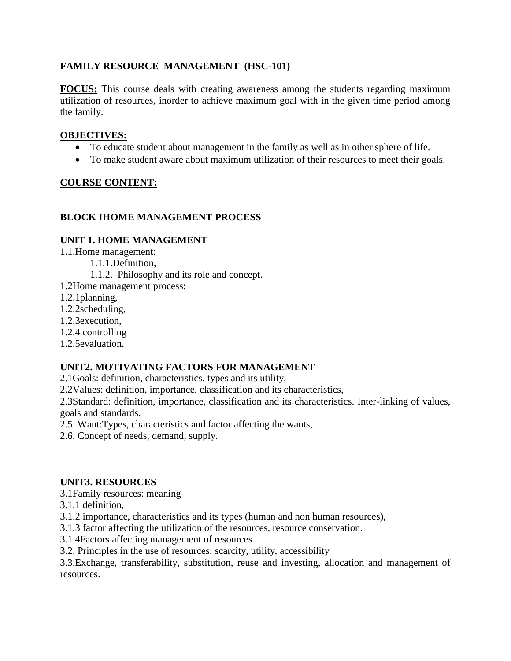# **FAMILY RESOURCE MANAGEMENT (HSC-101)**

**FOCUS:** This course deals with creating awareness among the students regarding maximum utilization of resources, inorder to achieve maximum goal with in the given time period among the family.

#### **OBJECTIVES:**

- To educate student about management in the family as well as in other sphere of life.
- To make student aware about maximum utilization of their resources to meet their goals.

## **COURSE CONTENT:**

## **BLOCK IHOME MANAGEMENT PROCESS**

#### **UNIT 1. HOME MANAGEMENT**

1.1.Home management:

1.1.1.Definition,

1.1.2. Philosophy and its role and concept.

- 1.2Home management process:
- 1.2.1planning,
- 1.2.2scheduling,
- 1.2.3execution,
- 1.2.4 controlling
- 1.2.5evaluation.

## **UNIT2. MOTIVATING FACTORS FOR MANAGEMENT**

2.1Goals: definition, characteristics, types and its utility,

2.2Values: definition, importance, classification and its characteristics,

2.3Standard: definition, importance, classification and its characteristics. Inter-linking of values, goals and standards.

2.5. Want:Types, characteristics and factor affecting the wants,

2.6. Concept of needs, demand, supply.

#### **UNIT3. RESOURCES**

3.1Family resources: meaning

3.1.1 definition,

3.1.2 importance, characteristics and its types (human and non human resources),

3.1.3 factor affecting the utilization of the resources, resource conservation.

3.1.4Factors affecting management of resources

3.2. Principles in the use of resources: scarcity, utility, accessibility

3.3.Exchange, transferability, substitution, reuse and investing, allocation and management of resources.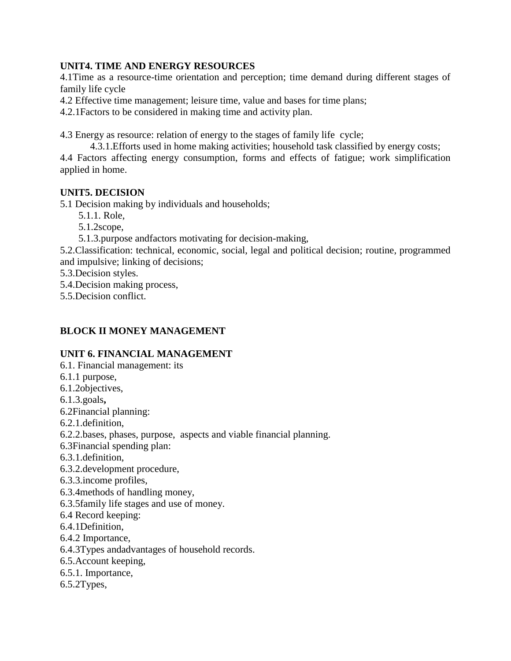## **UNIT4. TIME AND ENERGY RESOURCES**

4.1Time as a resource-time orientation and perception; time demand during different stages of family life cycle

4.2 Effective time management; leisure time, value and bases for time plans;

4.2.1Factors to be considered in making time and activity plan.

4.3 Energy as resource: relation of energy to the stages of family life cycle;

4.3.1.Efforts used in home making activities; household task classified by energy costs;

4.4 Factors affecting energy consumption, forms and effects of fatigue; work simplification applied in home.

# **UNIT5. DECISION**

5.1 Decision making by individuals and households;

5.1.1. Role,

5.1.2scope,

5.1.3.purpose andfactors motivating for decision-making,

5.2.Classification: technical, economic, social, legal and political decision; routine, programmed and impulsive; linking of decisions;

5.3.Decision styles.

5.4.Decision making process,

5.5.Decision conflict.

# **BLOCK II MONEY MANAGEMENT**

# **UNIT 6. FINANCIAL MANAGEMENT**

- 6.1. Financial management: its
- 6.1.1 purpose,
- 6.1.2objectives,
- 6.1.3.goals**,**

6.2Financial planning:

6.2.1.definition,

6.2.2.bases, phases, purpose, aspects and viable financial planning.

6.3Financial spending plan:

- 6.3.1.definition,
- 6.3.2.development procedure,
- 6.3.3.income profiles,
- 6.3.4methods of handling money,
- 6.3.5family life stages and use of money.
- 6.4 Record keeping:
- 6.4.1Definition,
- 6.4.2 Importance,
- 6.4.3Types andadvantages of household records.
- 6.5.Account keeping,
- 6.5.1. Importance,
- 6.5.2Types,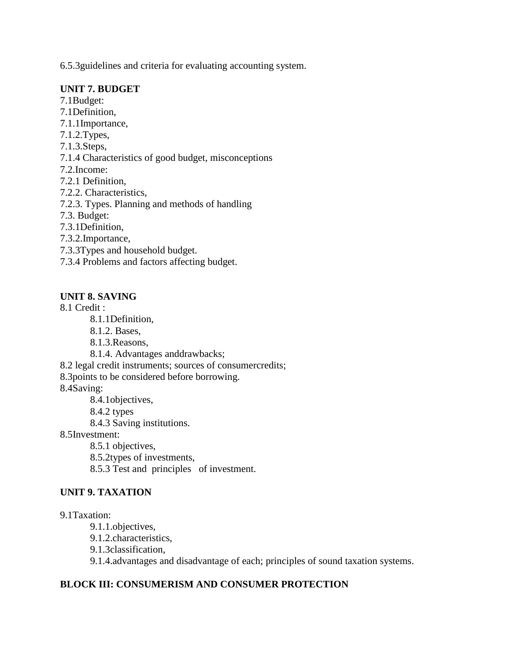6.5.3guidelines and criteria for evaluating accounting system.

#### **UNIT 7. BUDGET**

7.1Budget:

- 7.1Definition,
- 7.1.1Importance,
- 7.1.2.Types,
- 7.1.3.Steps,
- 7.1.4 Characteristics of good budget, misconceptions
- 7.2.Income:
- 7.2.1 Definition,
- 7.2.2. Characteristics,
- 7.2.3. Types. Planning and methods of handling
- 7.3. Budget:
- 7.3.1Definition,
- 7.3.2.Importance,
- 7.3.3Types and household budget.
- 7.3.4 Problems and factors affecting budget.

## **UNIT 8. SAVING**

8.1 Credit :

8.1.1Definition,

- 8.1.2. Bases,
- 8.1.3.Reasons,
- 8.1.4. Advantages anddrawbacks;
- 8.2 legal credit instruments; sources of consumercredits;
- 8.3points to be considered before borrowing.

8.4Saving:

- 8.4.1objectives,
- 8.4.2 types
	- 8.4.3 Saving institutions.
- 8.5Investment:

8.5.1 objectives,

8.5.2types of investments,

8.5.3 Test and principles of investment.

## **UNIT 9. TAXATION**

#### 9.1Taxation:

- 9.1.1.objectives,
- 9.1.2.characteristics,
- 9.1.3classification,

9.1.4.advantages and disadvantage of each; principles of sound taxation systems.

## **BLOCK III: CONSUMERISM AND CONSUMER PROTECTION**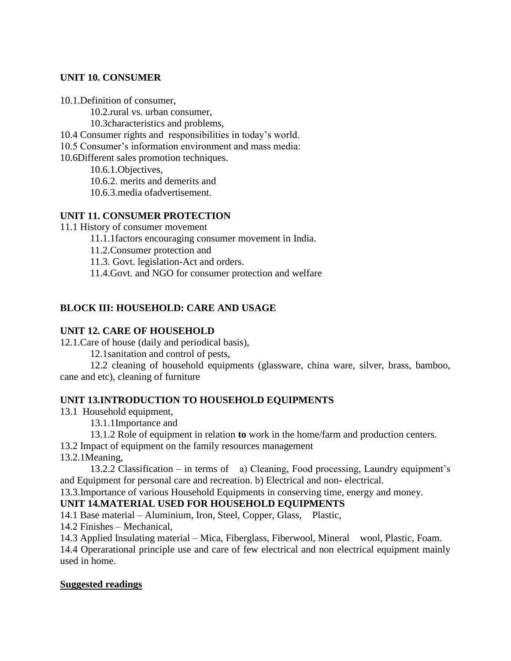#### **UNIT 10. CONSUMER**

10.1.Definition of consumer,

10.2.rural vs. urban consumer,

10.3characteristics and problems,

10.4 Consumer rights and responsibilities in today's world.

10.5 Consumer's information environment and mass media:

10.6Different sales promotion techniques.

10.6.1.Objectives,

10.6.2. merits and demerits and

10.6.3.media ofadvertisement.

## **UNIT 11. CONSUMER PROTECTION**

11.1 History of consumer movement

11.1.1factors encouraging consumer movement in India.

11.2.Consumer protection and

11.3. Govt. legislation-Act and orders.

11.4.Govt. and NGO for consumer protection and welfare

# **BLOCK III: HOUSEHOLD: CARE AND USAGE**

## **UNIT 12. CARE OF HOUSEHOLD**

12.1.Care of house (daily and periodical basis),

12.1sanitation and control of pests,

12.2 cleaning of household equipments (glassware, china ware, silver, brass, bamboo, cane and etc), cleaning of furniture

## **UNIT 13.INTRODUCTION TO HOUSEHOLD EQUIPMENTS**

13.1 Household equipment,

13.1.1Importance and

13.1.2 Role of equipment in relation **to** work in the home/farm and production centers.

13.2 Impact of equipment on the family resources management

13.2.1Meaning,

13.2.2 Classification – in terms of a) Cleaning, Food processing, Laundry equipment's and Equipment for personal care and recreation. b) Electrical and non- electrical.

13.3.Importance of various Household Equipments in conserving time, energy and money.

## **UNIT 14.MATERIAL USED FOR HOUSEHOLD EQUIPMENTS**

14.1 Base material – Aluminium, Iron, Steel, Copper, Glass, Plastic,

14.2 Finishes – Mechanical,

14.3 Applied Insulating material – Mica, Fiberglass, Fiberwool, Mineral wool, Plastic, Foam. 14.4 Operarational principle use and care of few electrical and non electrical equipment mainly used in home.

## **Suggested readings**